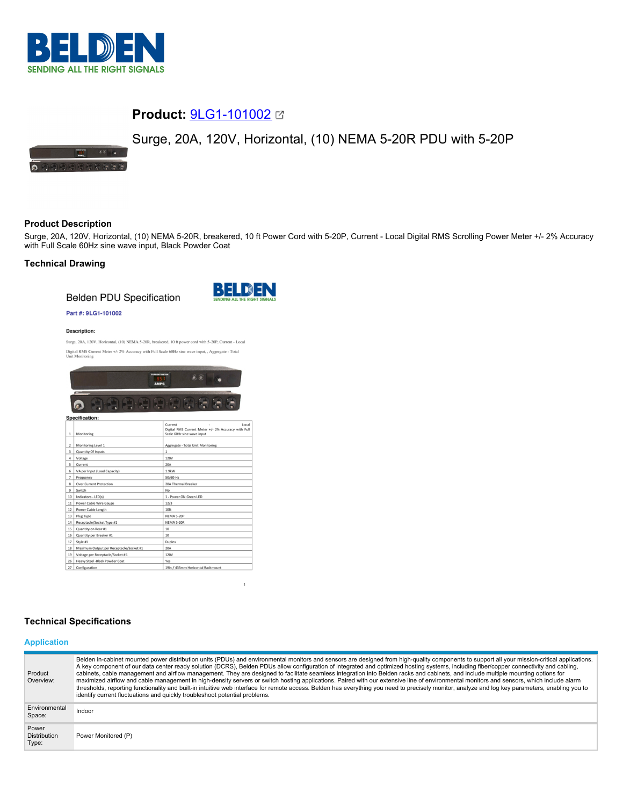

# **Product:** [9LG1-101002](https://catalog.belden.com/index.cfm?event=pd&p=PF_9LG1101002&tab=downloads)

# Surge, 20A, 120V, Horizontal, (10) NEMA 5-20R PDU with 5-20P



# **Product Description**

Surge, 20A, 120V, Horizontal, (10) NEMA 5-20R, breakered, 10 ft Power Cord with 5-20P, Current - Local Digital RMS Scrolling Power Meter +/- 2% Accuracy with Full Scale 60Hz sine wave input, Black Powder Coat

# **Technical Drawing**

**Belden PDU Specification** 



# Part #: 9LG1-101002

#### Description:

Surge, 20A, 120V, Horizontal, (10) NEMA 5-20R, breakered, 10 ft power cord with 5-20P, Current - Local Digital RMS Current Meter +/- 2% Accuracy with Full Scale 60Hz sine wave input, , Aggregate - Total Unit Monitoring



# **Technical Specifications**

#### **Application**

| Product<br>Overview:                  | Belden in-cabinet mounted power distribution units (PDUs) and environmental monitors and sensors are designed from high-quality components to support all your mission-critical applications.<br>A key component of our data center ready solution (DCRS), Belden PDUs allow configuration of integrated and optimized hosting systems, including fiber/copper connectivity and cabling,<br>cabinets, cable management and airflow management. They are designed to facilitate seamless integration into Belden racks and cabinets, and include multiple mounting options for<br>maximized airflow and cable management in high-density servers or switch hosting applications. Paired with our extensive line of environmental monitors and sensors, which include alarm<br>thresholds, reporting functionality and built-in intuitive web interface for remote access. Belden has everything you need to precisely monitor, analyze and log key parameters, enabling you to<br>identify current fluctuations and quickly troubleshoot potential problems. |
|---------------------------------------|-------------------------------------------------------------------------------------------------------------------------------------------------------------------------------------------------------------------------------------------------------------------------------------------------------------------------------------------------------------------------------------------------------------------------------------------------------------------------------------------------------------------------------------------------------------------------------------------------------------------------------------------------------------------------------------------------------------------------------------------------------------------------------------------------------------------------------------------------------------------------------------------------------------------------------------------------------------------------------------------------------------------------------------------------------------|
| Environmental<br>Space:               | Indoor                                                                                                                                                                                                                                                                                                                                                                                                                                                                                                                                                                                                                                                                                                                                                                                                                                                                                                                                                                                                                                                      |
| Power<br><b>Distribution</b><br>Type: | Power Monitored (P)                                                                                                                                                                                                                                                                                                                                                                                                                                                                                                                                                                                                                                                                                                                                                                                                                                                                                                                                                                                                                                         |